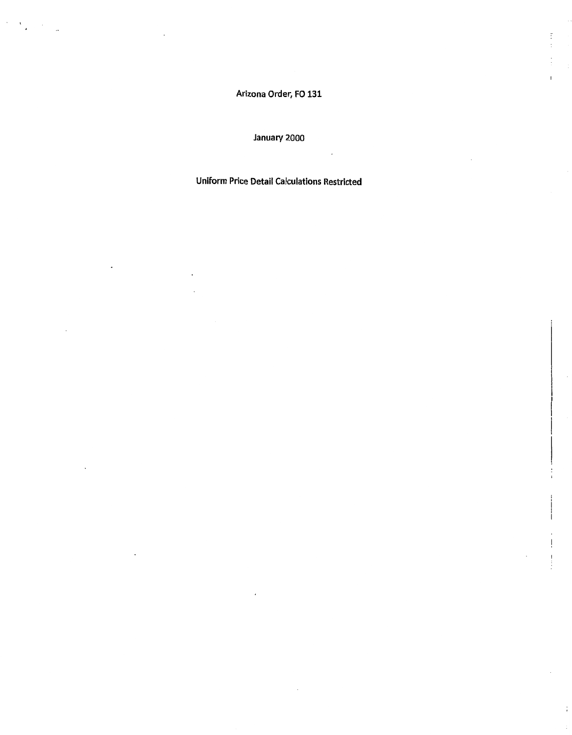Arizona Order, FO 131

 $\vdots$ 

ï

 $\frac{1}{2}$  ,  $\frac{1}{2}$ 

 $\sim$ 

#### January 2000

#### Uniform Price Detail Calculations Restricted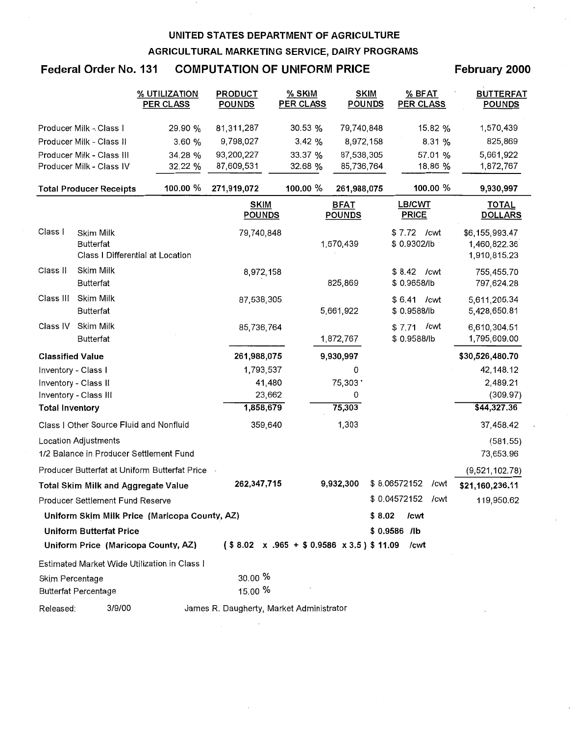### Federal Order No. 131 COMPUTATION OF UNIFORM PRICE

#### February 2000

|                         |                                            | % UTILIZATION<br><b>PER CLASS</b>             | <b>PRODUCT</b><br><b>POUNDS</b>          | % SKIM<br>PER CLASS                               | <b>SKIM</b><br><b>POUNDS</b> | % BFAT<br><b>PER CLASS</b>     | <b>BUTTERFAT</b><br><b>POUNDS</b>              |
|-------------------------|--------------------------------------------|-----------------------------------------------|------------------------------------------|---------------------------------------------------|------------------------------|--------------------------------|------------------------------------------------|
|                         | Producer Milk - Class I                    | 29.90 %                                       | 81,311,287                               | 30.53 %                                           | 79,740,848                   | 15.82 %                        | 1,570,439                                      |
|                         | Producer Milk - Class II                   | 3.60 %                                        | 9,798,027                                | 3.42%                                             | 8,972,158                    | 8.31 %                         | 825,869                                        |
|                         | Producer Milk - Class III                  | 34.28 %                                       | 93,200,227                               | 33.37 %                                           | 87,538,305                   | 57.01 %                        | 5,661,922                                      |
|                         | Producer Milk - Class IV                   | 32.22 %                                       | 87,609,531                               | 32.68 %                                           | 85,736,764                   | 18.86 %                        | 1,872,767                                      |
|                         | <b>Total Producer Receipts</b>             | 100.00 %                                      | 271,919,072                              | 100.00 %                                          | 261,988,075                  | 100.00 %                       | 9,930,997                                      |
|                         |                                            |                                               | <b>SKIM</b><br><b>POUNDS</b>             |                                                   | <b>BFAT</b><br><b>POUNDS</b> | LB/CWT<br><b>PRICE</b>         | <b>TOTAL</b><br><b>DOLLARS</b>                 |
| Class I                 | Skim Milk<br><b>Butterfat</b>              | Class I Differential at Location              | 79,740,848                               |                                                   | 1,570,439                    | \$7.72 / cwt<br>\$0.9302/lb    | \$6,155,993.47<br>1,460,822.36<br>1,910,815.23 |
| Class II                | Skim Milk<br><b>Butterfat</b>              |                                               | 8,972,158                                |                                                   | 825,869                      | \$8.42 / cwt<br>\$0.9658/lb    | 755,455.70<br>797,624.28                       |
| Class III               | Skim Milk<br><b>Butterfat</b>              |                                               | 87,538,305                               |                                                   | 5,661,922                    | \$6.41<br>/cwt<br>\$0.9588/lb  | 5,611,205.34<br>5,428,650.81                   |
| Class IV                | Skim Milk<br><b>Butterfat</b>              |                                               | 85,736,764                               |                                                   | 1,872,767                    | \$7.71<br>/cwt<br>\$ 0.9588/lb | 6,610,304.51<br>1,795,609.00                   |
| <b>Classified Value</b> |                                            |                                               | 261,988,075                              |                                                   | 9,930,997                    |                                | \$30,526,480.70                                |
|                         | Inventory - Class I                        |                                               | 1,793,537                                |                                                   | 0                            |                                | 42, 148. 12                                    |
|                         | Inventory - Class II                       |                                               | 41,480                                   |                                                   | 75,303'                      |                                | 2,489.21                                       |
|                         | Inventory - Class III                      |                                               | 23,662                                   |                                                   | 0                            |                                | (309.97)                                       |
| <b>Total Inventory</b>  |                                            |                                               | 1,858,679                                |                                                   | 75,303                       |                                | \$44,327.36                                    |
|                         | Class I Other Source Fluid and Nonfluid    |                                               | 359,640                                  |                                                   | 1,303                        |                                | 37,458.42                                      |
|                         | <b>Location Adjustments</b>                | 1/2 Balance in Producer Settlement Fund       |                                          |                                                   |                              |                                | (581.55)<br>73,653.96                          |
|                         |                                            | Producer Butterfat at Uniform Butterfat Price |                                          |                                                   |                              |                                | (9,521,102.78)                                 |
|                         | <b>Total Skim Milk and Aggregate Value</b> |                                               | 262,347,715                              |                                                   | 9,932,300                    | \$8.06572152<br>/cwt           | \$21,160,236.11                                |
|                         | Producer Settlement Fund Reserve           |                                               |                                          |                                                   |                              | \$0.04572152<br>/cwt           | 119,950.62                                     |
|                         |                                            | Uniform Skim Milk Price (Maricopa County, AZ) |                                          |                                                   | \$8.02                       | /cwt                           |                                                |
|                         | <b>Uniform Butterfat Price</b>             |                                               |                                          |                                                   |                              | $$0.9586$ /lb                  |                                                |
|                         |                                            | Uniform Price (Maricopa County, AZ)           |                                          | $($8.02 \times .965 + $0.9586 \times 3.5) $11.09$ |                              | /cwt                           |                                                |
|                         |                                            | Estimated Market Wide Utilization in Class I  |                                          |                                                   |                              |                                |                                                |
| Skim Percentage         | <b>Butterfat Percentage</b>                |                                               | 30.00 %<br>15.00 %                       |                                                   |                              |                                |                                                |
| Released:               | 3/9/00                                     |                                               | James R. Daugherty, Market Administrator |                                                   |                              |                                |                                                |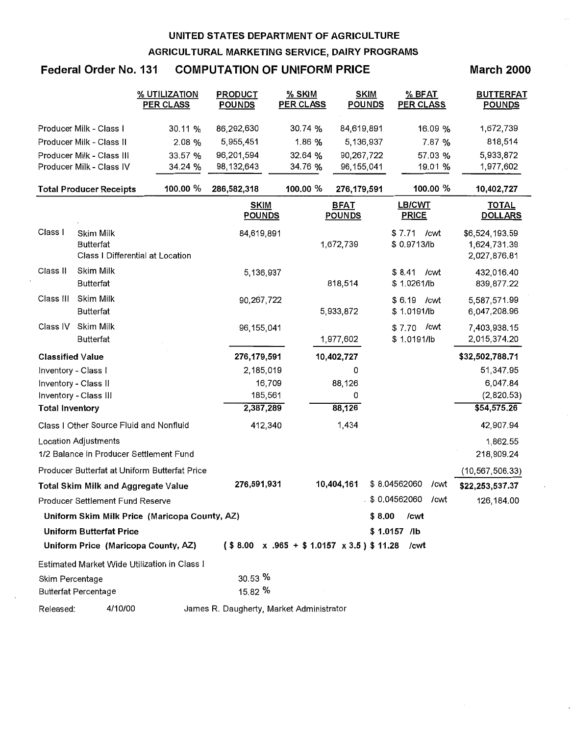## **Federal Order No. 131 COMPUTATION OF UNIFORM PRICE**

#### **March 2000**

|                         |                                         | % UTILIZATION<br><b>PER CLASS</b>             | <b>PRODUCT</b><br><b>POUNDS</b>          | % SKIM<br><b>PER CLASS</b> | <b>SKIM</b><br><b>POUNDS</b>                      | % BFAT<br><b>PER CLASS</b>     | <b>BUTTERFAT</b><br><b>POUNDS</b>              |
|-------------------------|-----------------------------------------|-----------------------------------------------|------------------------------------------|----------------------------|---------------------------------------------------|--------------------------------|------------------------------------------------|
|                         | Producer Milk - Class I                 | 30.11 %                                       | 86,292,630                               | 30.74 %                    | 84,619,891                                        | 16.09 %                        | 1,672,739                                      |
|                         | Producer Milk - Class II                | 2.08 %                                        | 5,955,451                                | 1.86 %                     | 5,136,937                                         | 7.87 %                         | 818,514                                        |
|                         | Producer Milk - Class III               | 33.57 %                                       | 96,201,594                               | 32.64 %                    | 90,267,722                                        | 57.03 %                        | 5,933,872                                      |
|                         | Producer Milk - Class IV                | 34.24 %                                       | 98,132,643                               | 34.76 %                    | 96, 155, 041                                      | 19.01 %                        | 1,977,602                                      |
|                         | <b>Total Producer Receipts</b>          | 100.00 %                                      | 286,582,318                              | 100.00 %                   | 276,179,591                                       | 100.00 %                       | 10,402,727                                     |
|                         |                                         |                                               | <b>SKIM</b><br><b>POUNDS</b>             |                            | <b>BFAT</b><br><b>POUNDS</b>                      | LB/CWT<br><b>PRICE</b>         | <b>TOTAL</b><br><b>DOLLARS</b>                 |
| Class I                 | Skim Milk<br>Butterfat                  | Class I Differential at Location              | 84,619,891                               |                            | 1,672,739                                         | \$7.71<br>/cwt<br>\$ 0.9713/lb | \$6,524,193.59<br>1,624,731.39<br>2,027,876.81 |
| Class II                | Skim Milk<br><b>Butterfat</b>           |                                               | 5,136,937                                |                            | 818,514                                           | \$8.41<br>/cwt<br>\$1.0261/lb  | 432,016.40<br>839,877.22                       |
| Class III               | Skim Milk<br><b>Butterfat</b>           |                                               | 90,267,722                               |                            | 5,933,872                                         | \$6.19<br>/cwt<br>\$1.0191/lb  | 5,587,571.99<br>6,047,208.96                   |
| Class IV                | Skim Milk<br><b>Butterfat</b>           |                                               | 96, 155, 041                             |                            | 1,977,602                                         | /cwt<br>\$7.70<br>\$1.0191/lb  | 7,403,938.15<br>2,015,374.20                   |
| <b>Classified Value</b> |                                         |                                               | 276,179,591                              |                            | 10,402,727                                        |                                | \$32,502,788.71                                |
| Inventory - Class I     |                                         |                                               | 2,185,019                                |                            | 0                                                 |                                | 51,347.95                                      |
|                         | Inventory - Class II                    |                                               | 16,709                                   |                            | 88,126                                            |                                | 6,047.84                                       |
|                         | Inventory - Class III                   |                                               | 185,561                                  |                            | 0                                                 |                                | (2,820.53)                                     |
| <b>Total Inventory</b>  |                                         |                                               | 2,387,289                                |                            | 88,126                                            |                                | \$54,575.26                                    |
|                         | Class I Other Source Fluid and Nonfluid |                                               | 412,340                                  |                            | 1,434                                             |                                | 42,907.94                                      |
|                         | Location Adjustments                    |                                               |                                          |                            |                                                   |                                | 1,862.55                                       |
|                         |                                         | 1/2 Balance in Producer Settlement Fund       |                                          |                            |                                                   |                                | 218,909.24                                     |
|                         |                                         | Producer Butterfat at Uniform Butterfat Price |                                          |                            |                                                   |                                | (10, 567, 506.33)                              |
|                         | Total Skim Milk and Aggregate Value     |                                               | 276,591,931                              |                            | 10,404,161                                        | \$8.04562060<br>/cwt           | \$22,253,537.37                                |
|                         | <b>Producer Settlement Fund Reserve</b> |                                               |                                          |                            |                                                   | \$0.04562060<br>/cwt           | 126, 184.00                                    |
|                         |                                         | Uniform Skim Milk Price (Maricopa County, AZ) |                                          |                            | \$8.00                                            | /cwt                           |                                                |
|                         | <b>Uniform Butterfat Price</b>          |                                               |                                          |                            |                                                   | \$1.0157 /lb                   |                                                |
|                         |                                         | Uniform Price (Maricopa County, AZ)           |                                          |                            | $($8.00 \times .965 + $1.0157 \times 3.5) $11.28$ | /cwt                           |                                                |
|                         |                                         | Estimated Market Wide Utilization in Class I  |                                          |                            |                                                   |                                |                                                |
| Skim Percentage         | <b>Butterfat Percentage</b>             |                                               | 30.53 %<br>15.82 %                       |                            |                                                   |                                |                                                |
| Released:               | 4/10/00                                 |                                               | James R. Daugherty, Market Administrator |                            |                                                   |                                |                                                |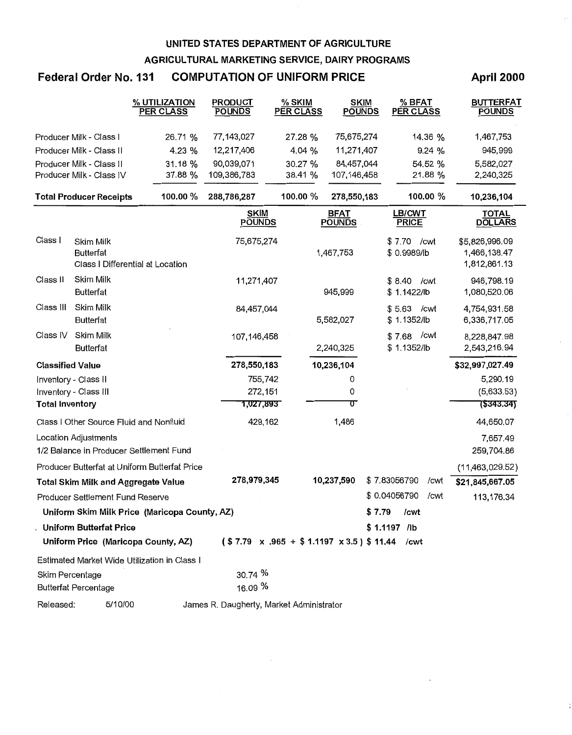#### Federal Order No.131 COMPUTATION OF UNIFORM PRICE

#### April 2000

|                         |                                            | % UTILIZATION<br><b>PER CLASS</b>             | <b>PRODUCT</b><br><b>POUNDS</b>          | % SKIM<br><b>PER CLASS</b> | <b>SKIM</b><br><b>POUNDS</b> | % BFAT<br><b>PER CLASS</b>                             | <b>BUTTERFAT</b><br><b>POUNDS</b>              |
|-------------------------|--------------------------------------------|-----------------------------------------------|------------------------------------------|----------------------------|------------------------------|--------------------------------------------------------|------------------------------------------------|
|                         | Producer Milk - Class I                    | 26.71 %                                       | 77,143,027                               | 27.28 %                    | 75,675,274                   | 14.36 %                                                | 1,467,753                                      |
|                         | Producer Milk - Class II                   | 4.23 %                                        | 12,217,406                               | 4.04 %                     | 11,271,407                   | 9.24%                                                  | 945,999                                        |
|                         | Producer Milk - Class II                   | 31.18 %                                       | 90,039,071                               | 30.27 %                    | 84,457,044                   | 54.52 %                                                | 5,582,027                                      |
|                         | Producer Milk - Class IV                   | 37.88 %                                       | 109,386,783                              | 38.41 %                    | 107,146,458                  | 21.88 %                                                | 2,240,325                                      |
|                         | <b>Total Producer Receipts</b>             | 100.00 %                                      | 288,786,287                              | 100.00 %                   | 278,550,183                  | 100.00 %                                               | 10,236,104                                     |
|                         |                                            |                                               | <b>SKIM</b><br><b>POUNDS</b>             |                            | <b>BFAT</b><br><b>POUNDS</b> | LB/CWT<br><b>PRICE</b>                                 | TOTAL<br><b>DOLLARS</b>                        |
| Class I                 | Skim Milk<br><b>Butterfat</b>              | Class I Differential at Location              | 75,675,274                               |                            | 1,467,753                    | \$7.70 / cwt<br>\$0.9989/lb                            | \$5,826,996.09<br>1,466,138.47<br>1,812,861.13 |
| Class II                | Skim Milk<br><b>Butterfat</b>              |                                               | 11,271,407                               |                            | 945,999                      | \$8.40 / cwt<br>\$1.1422/lb                            | 946,798.19<br>1,080,520.06                     |
| Class III               | Skim Milk<br><b>Butterfat</b>              |                                               | 84,457,044                               |                            | 5,582,027                    | $$5.63$ /cwt<br>\$1.1352/lb                            | 4,754,931.58<br>6,336,717.05                   |
| Class IV                | Skim Milk<br><b>Butterfat</b>              |                                               | 107,146,458                              |                            | 2,240,325                    | \$7.68 / cwt<br>\$1.1352/lb                            | 8,228,847.98<br>2,543,216.94                   |
| <b>Classified Value</b> |                                            |                                               | 278,550,183                              |                            | 10,236,104                   |                                                        | \$32,997,027.49                                |
|                         | Inventory - Class II                       |                                               | 755,742                                  |                            | 0                            |                                                        | 5,290.19                                       |
|                         | Inventory - Class III                      |                                               | 272,151                                  |                            | 0                            |                                                        | (5,633.53)                                     |
| <b>Total Inventory</b>  |                                            |                                               | 1,027,893                                |                            | ᡨ                            |                                                        | 7\$343.34)                                     |
|                         | Class I Other Source Fluid and Nonfluid    |                                               | 429,162                                  |                            | 1,486                        |                                                        | 44,650.07                                      |
|                         | Location Adjustments                       | 1/2 Balance in Producer Settlement Fund       |                                          |                            |                              |                                                        | 7,657.49<br>259,704.86                         |
|                         |                                            | Producer Butterfat at Uniform Butterfat Price |                                          |                            |                              |                                                        | (11,463,029.52)                                |
|                         | <b>Total Skim Milk and Aggregate Value</b> |                                               | 278,979,345                              |                            | 10,237,590                   | \$7.83056790<br>/cwt                                   | \$21,845,667.05                                |
|                         | Producer Settlement Fund Reserve           |                                               |                                          |                            |                              | \$0.04056790<br>/cwt                                   | 113,176.34                                     |
|                         |                                            | Uniform Skim Milk Price (Maricopa County, AZ) |                                          |                            |                              | \$7.79<br>/cwt                                         |                                                |
|                         | <b>Julia Butterfat Price</b> 3             |                                               |                                          |                            |                              | $$1.1197$ /lb                                          |                                                |
|                         |                                            | Uniform Price (Maricopa County, AZ)           |                                          |                            |                              | $($7.79 \times .965 + $1.1197 \times 3.5) $11.44$ /cwt |                                                |
|                         |                                            | Estimated Market Wide Utilization in Class I  |                                          |                            |                              |                                                        |                                                |
| Skim Percentage         | <b>Butterfat Percentage</b>                |                                               | 30.74 %<br>16.09 %                       |                            |                              |                                                        |                                                |
| Released:               | 5/10/00                                    |                                               | James R. Daugherty, Market Administrator |                            |                              |                                                        |                                                |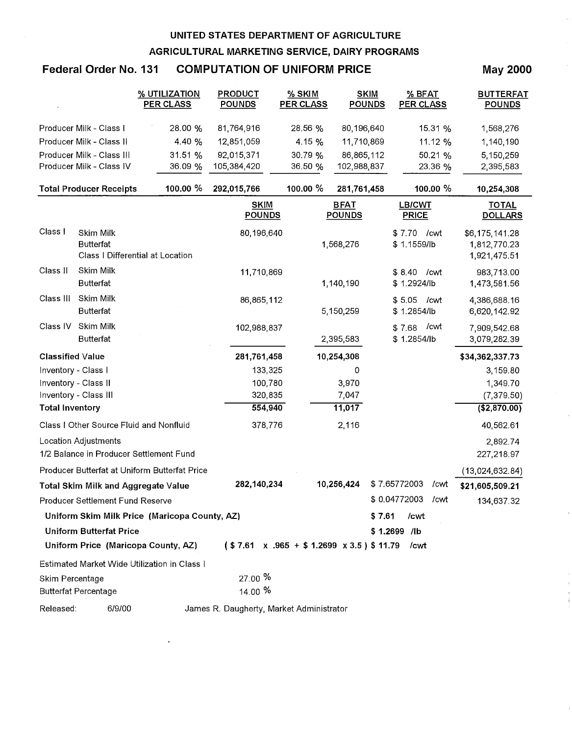## Federal Order No. 131 COMPUTATION OF UNIFORM PRICE

 $\star$ 

May 2000

|                         |                                                                        | <u>% UTILIZATION</u><br><b>PER CLASS</b>      | <u>PRODUCT</u><br><b>POUNDS</b>                     | <u>% SKIM</u><br><b>PER CLASS</b> | <u>SKIM</u><br><b>POUNDS</b> | <u>% BFAT</u><br><b>PER CLASS</b> | <b>BUTTERFAT</b><br><b>POUNDS</b>              |
|-------------------------|------------------------------------------------------------------------|-----------------------------------------------|-----------------------------------------------------|-----------------------------------|------------------------------|-----------------------------------|------------------------------------------------|
|                         | Producer Milk - Class I                                                | 28.00 %                                       | 81,764,916                                          | 28.56 %                           | 80,196,640                   | 15.31 %                           | 1,568,276                                      |
|                         | Producer Milk - Class II                                               | 4.40 %                                        | 12,851,059                                          | 4.15 %                            | 11,710,869                   | 11.12 %                           | 1,140,190                                      |
|                         | Producer Milk - Class III                                              | 31.51 %                                       | 92,015,371                                          | 30.79 %                           | 86,865,112                   | 50.21 %                           | 5,150,259                                      |
|                         | Producer Milk - Class IV                                               | 36.09 %                                       | 105,384,420                                         | 36.50 %                           | 102,988,837                  | 23.36 %                           | 2,395,583                                      |
|                         | <b>Total Producer Receipts</b>                                         | 100.00 %                                      | 292,015,766                                         | 100.00 %                          | 281,761,458                  | 100.00 $%$                        | 10,254,308                                     |
|                         |                                                                        |                                               | <b>SKIM</b><br><b>POUNDS</b>                        |                                   | <b>BFAT</b><br><b>POUNDS</b> | <b>LB/CWT</b><br><b>PRICE</b>     | <b>TOTAL</b><br><b>DOLLARS</b>                 |
| Class I                 | Skim Milk<br><b>Butterfat</b><br>Class I Differential at Location      |                                               | 80,196,640                                          |                                   | 1,568,276                    | \$7.70 / cwt<br>\$1.1559/lb       | \$6,175,141.28<br>1,812,770.23<br>1,921,475.51 |
| Class II                | Skim Milk<br><b>Butterfat</b>                                          |                                               | 11,710,869                                          |                                   | 1,140,190                    | \$8.40 / cwt<br>\$1.2924/lb       | 983,713.00<br>1,473,581.56                     |
| Class III               | Skim Milk<br><b>Butterfat</b>                                          |                                               | 86,865,112                                          |                                   | 5,150,259                    | \$5.05 / cwt<br>\$1.2854/lb       | 4,386,688.16<br>6,620,142.92                   |
| Class IV                | Skim Milk<br><b>Butterfat</b>                                          |                                               | 102,988,837                                         |                                   | 2,395,583                    | /cwt<br>\$7.68<br>\$1.2854/lb     | 7,909,542.68<br>3,079,282.39                   |
| <b>Classified Value</b> |                                                                        |                                               | 281,761,458                                         |                                   | 10,254,308                   |                                   | \$34,362,337.73                                |
| Inventory - Class I     |                                                                        |                                               | 133,325                                             |                                   | 0                            |                                   | 3,159.80                                       |
|                         | Inventory - Class II                                                   |                                               | 100,780                                             |                                   | 3,970                        |                                   | 1,349.70                                       |
|                         | Inventory - Class III                                                  |                                               | 320,835                                             |                                   | 7,047                        |                                   | (7, 379.50)                                    |
| <b>Total Inventory</b>  |                                                                        |                                               | 554,940                                             |                                   | 11,017                       |                                   | (\$2,870.00)                                   |
|                         | Class I Other Source Fluid and Nonfluid                                |                                               | 378,776                                             |                                   | 2,116                        |                                   | 40,562.61                                      |
|                         | <b>Location Adjustments</b><br>1/2 Balance in Producer Settlement Fund |                                               |                                                     |                                   |                              |                                   | 2,892.74<br>227,218.97                         |
|                         |                                                                        | Producer Butterfat at Uniform Butterfat Price |                                                     |                                   |                              |                                   | (13,024,632.84)                                |
|                         | Total Skim Milk and Aggregate Value                                    |                                               | 282,140,234                                         |                                   | 10,256,424                   | \$7.65772003<br>/cwt              | \$21,605,509.21                                |
|                         | Producer Settlement Fund Reserve                                       |                                               |                                                     |                                   |                              | \$0.04772003<br>/cwt              | 134,637.32                                     |
|                         |                                                                        | Uniform Skim Milk Price (Maricopa County, AZ) |                                                     |                                   | \$7.61                       | /cwt                              |                                                |
|                         | <b>Uniform Butterfat Price</b>                                         |                                               |                                                     |                                   |                              | \$1.2699 /lb                      |                                                |
|                         |                                                                        | Uniform Price (Maricopa County, AZ)           | $($7.61 \times .965 + $1.2699 \times 3.5)$$ \$11.79 |                                   |                              | /cwt                              |                                                |
|                         |                                                                        | Estimated Market Wide Utilization in Class 1  |                                                     |                                   |                              |                                   |                                                |
| Skim Percentage         | <b>Butterfat Percentage</b>                                            |                                               | $27.00\%$<br>14.00 %                                |                                   |                              |                                   |                                                |
| Released:               | 6/9/00                                                                 |                                               | James R. Daugherty, Market Administrator            |                                   |                              |                                   |                                                |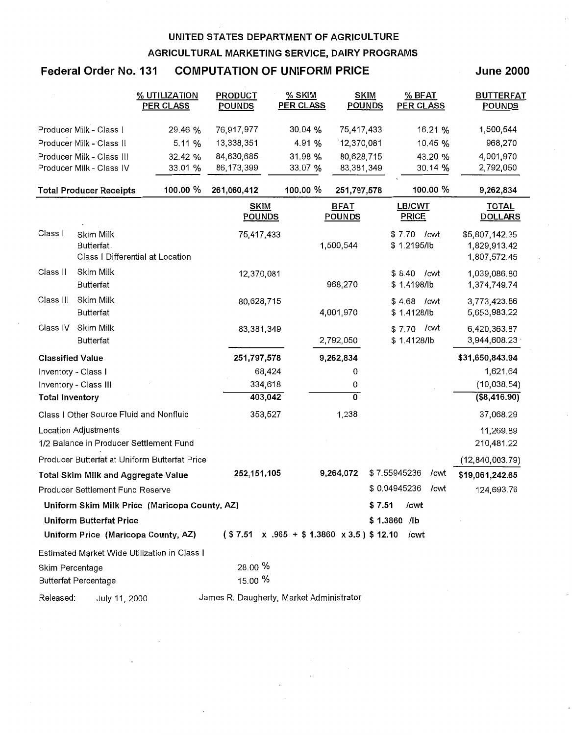### Federal Order No. 131 COMPUTATION OF UNIFORM PRICE

June 2000

|                         |                                                                 | % UTILIZATION<br><b>PER CLASS</b>             | <b>PRODUCT</b><br><b>POUNDS</b>          | $%$ SKIM<br>PER CLASS                                  | <b>SKIM</b><br><b>POUNDS</b> | % BFAT<br><b>PER CLASS</b>    | <b>BUTTERFAT</b><br><b>POUNDS</b>              |
|-------------------------|-----------------------------------------------------------------|-----------------------------------------------|------------------------------------------|--------------------------------------------------------|------------------------------|-------------------------------|------------------------------------------------|
|                         | Producer Milk - Class I                                         | 29.46 %                                       | 76,917,977                               | 30.04 %                                                | 75,417,433                   | 16.21 %                       | 1,500,544                                      |
|                         | Producer Milk - Class II                                        | 5.11 %                                        | 13,338,351                               | 4.91 %                                                 | 12,370,081                   | 10.45 %                       | 968,270                                        |
|                         | Producer Milk - Class III                                       | 32.42 %                                       | 84,630,685                               | 31.98 %                                                | 80,628,715                   | 43.20 %                       | 4,001,970                                      |
|                         | Producer Milk - Class IV                                        | 33.01 %                                       | 86, 173, 399                             | 33.07 %                                                | 83,381,349                   | 30.14 %                       | 2,792,050                                      |
|                         | <b>Total Producer Receipts</b>                                  | 100.00 %                                      | 261,060,412                              | 100.00 %                                               | 251,797,578                  | 100.00 %                      | 9,262,834                                      |
|                         |                                                                 |                                               | <b>SKIM</b><br><b>POUNDS</b>             |                                                        | <b>BFAT</b><br><b>POUNDS</b> | <b>LB/CWT</b><br><b>PRICE</b> | <u>TO</u> TAL<br><b>DOLLARS</b>                |
| Class I                 | Skim Milk<br>Butterfat.<br>Class I Differential at Location     |                                               | 75,417,433                               |                                                        | 1,500,544                    | \$7.70<br>/cwt<br>\$1.2195/lb | \$5,807,142.35<br>1,829,913.42<br>1,807,572.45 |
| Class II                | Skim Milk<br>Butterfat                                          |                                               | 12,370,081                               |                                                        | 968,270                      | \$8.40 / cwt<br>\$1.4198/lb   | 1,039,086.80<br>1,374,749.74                   |
| Class III               | Skim Milk<br><b>Butterfat</b>                                   |                                               | 80,628,715                               |                                                        | 4,001.970                    | \$4.68 / cwt<br>\$1.4128/lb   | 3,773,423.86<br>5,653,983.22                   |
| Class IV                | Skim Milk<br><b>Butterfat</b>                                   |                                               | 83,381,349                               |                                                        | 2,792,050                    | /cwt<br>\$7.70<br>\$1.4128/lb | 6,420,363.87<br>3,944,608.23                   |
| <b>Classified Value</b> |                                                                 |                                               | 251,797,578                              |                                                        | 9,262,834                    |                               | \$31,650,843.94                                |
| Inventory - Class I     |                                                                 |                                               | 68,424                                   |                                                        | 0                            |                               | 1,621.64                                       |
|                         | Inventory - Class III                                           |                                               | 334,618                                  |                                                        | 0                            |                               | (10,038.54)                                    |
| <b>Total Inventory</b>  |                                                                 |                                               | 403,042                                  |                                                        | $\overline{0}$               |                               | ( \$8,416.90)                                  |
|                         | Class I Other Source Fluid and Nonfluid                         |                                               | 353,527                                  |                                                        | 1,238                        |                               | 37,068.29                                      |
|                         | Location Adjustments<br>1/2 Balance in Producer Settlement Fund |                                               |                                          |                                                        |                              |                               | 11,269.89<br>210,481.22                        |
|                         |                                                                 | Producer Butterfat at Uniform Butterfat Price |                                          |                                                        |                              |                               | (12, 840, 003.79)                              |
|                         | Total Skim Milk and Aggregate Value                             |                                               | 252, 151, 105                            |                                                        | 9,264,072                    | \$7.55945236<br>/cwt          | \$19,061,242.65                                |
|                         | Producer Settlement Fund Reserve                                |                                               |                                          |                                                        |                              | \$0.04945236<br>/cwt          | 124,693.76                                     |
|                         |                                                                 | Uniform Skim Milk Price (Maricopa County, AZ) |                                          |                                                        |                              | \$7.51<br>/cwt                |                                                |
|                         | <b>Uniform Butterfat Price</b>                                  |                                               |                                          |                                                        |                              | $$1.3860$ /lb                 |                                                |
|                         | Uniform Price (Maricopa County, AZ)                             |                                               |                                          | $($7.51 \times .965 + $1.3860 \times 3.5) $12.10$ /cwt |                              |                               |                                                |
|                         |                                                                 | Estimated Market Wide Utilization in Class I  |                                          |                                                        |                              |                               |                                                |
| Skim Percentage         | <b>Butterfat Percentage</b>                                     |                                               | 28.00 %<br>15.00 %                       |                                                        |                              |                               |                                                |
| Released:               | July 11, 2000                                                   |                                               | James R. Daugherty, Market Administrator |                                                        |                              |                               |                                                |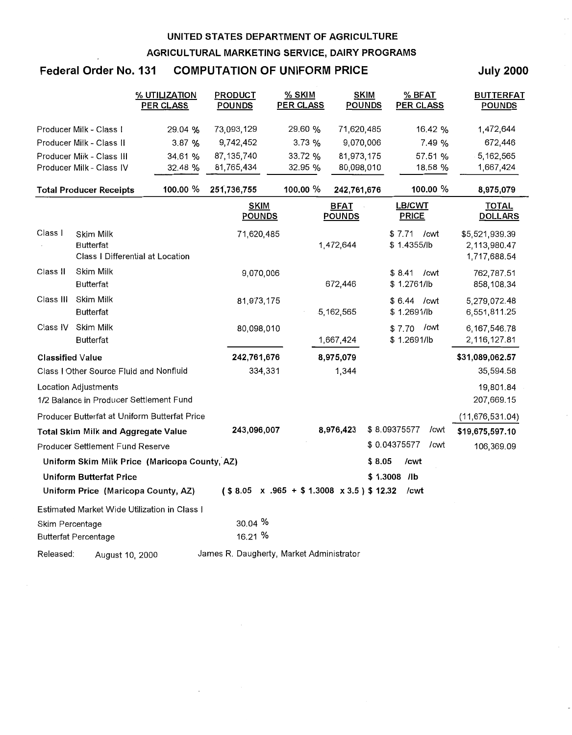## **Federal Order No. 131 COMPUTATION OF UNIFORM PRICE**

**July 2000** 

|                         |                                            | % UTILIZATION<br><b>PER CLASS</b>             | PRODUCT<br><b>POUNDS</b>                            | $%$ SKIM<br><b>PER CLASS</b> | <b>SKIM</b><br><b>POUNDS</b> | $%$ BFAT<br>PER CLASS         | <b>BUTTERFAT</b><br><b>POUNDS</b>              |
|-------------------------|--------------------------------------------|-----------------------------------------------|-----------------------------------------------------|------------------------------|------------------------------|-------------------------------|------------------------------------------------|
|                         | Producer Milk - Class I                    | 29.04 %                                       | 73,093,129                                          | 29.60 %                      | 71,620,485                   | 16.42 %                       | 1,472,644                                      |
|                         | Producer Milk - Class II                   | 3.87 %                                        | 9,742,452                                           | 3.73%                        | 9,070,006                    | 7.49 %                        | 672,446                                        |
|                         | Producer Milk - Class III                  | 34.61 %                                       | 87, 135, 740                                        | 33.72 %                      | 81,973,175                   | 57.51 %                       | 5,162,565                                      |
|                         | Producer Milk - Class IV                   | 32.48 %                                       | 81,765,434                                          | 32.95 %                      | 80,098,010                   | 18.58 %                       | 1,667,424                                      |
|                         | <b>Total Producer Receipts</b>             | 100.00 %                                      | 251,736,755                                         | 100.00 %                     | 242,761,676                  | 100.00 %                      | 8,975,079                                      |
|                         |                                            |                                               | <b>SKIM</b><br><b>POUNDS</b>                        |                              | <b>BFAT</b><br><b>POUNDS</b> | <b>LB/CWT</b><br><b>PRICE</b> | TOTAL<br><b>DOLLARS</b>                        |
| Class I                 | Skim Milk<br><b>Butterfat</b>              | Class I Differential at Location              | 71,620,485                                          |                              | 1,472,644                    | $$7.71$ / cwt<br>\$1.4355/lb  | \$5,521,939.39<br>2,113,980.47<br>1,717,688.54 |
| Class II                | Skim Milk<br><b>Butterfat</b>              |                                               | 9,070,006                                           |                              | 672,446                      | \$8.41<br>/cwt<br>\$1.2761/lb | 762,787.51<br>858,108.34                       |
| Class III               | Skim Milk<br><b>Butterfat</b>              |                                               | 81,973,175                                          |                              | 5,162,565                    | \$ 6.44 / cwt<br>\$1.2691/lb  | 5,279,072.48<br>6,551,811.25                   |
| Class IV                | Skim Milk<br><b>Butterfat</b>              |                                               | 80,098,010                                          |                              | 1,667,424                    | /cwt<br>\$7.70<br>\$1.2691/lb | 6,167,546.78<br>2,116,127.81                   |
| <b>Classified Value</b> |                                            |                                               | 242,761,676                                         |                              | 8,975,079                    |                               | \$31,089,062.57                                |
|                         | Class I Other Source Fluid and Nonfluid    |                                               | 334,331                                             |                              | 1,344                        |                               | 35,594.58                                      |
|                         | Location Adjustments                       | 1/2 Balance in Producer Settlement Fund       |                                                     |                              |                              |                               | 19,801.84<br>207,669.15                        |
|                         |                                            | Producer Butterfat at Uniform Butterfat Price |                                                     |                              |                              |                               | (11, 676, 531.04)                              |
|                         | <b>Total Skim Milk and Aggregate Value</b> |                                               | 243,096,007                                         |                              | 8,976,423                    | \$8.09375577<br>/cwt          | \$19,675,597.10                                |
|                         | Producer Settlement Fund Reserve           |                                               |                                                     |                              |                              | \$0.04375577<br>/cwt          | 106,369.09                                     |
|                         |                                            | Uniform Skim Milk Price (Maricopa County, AZ) |                                                     |                              |                              | /cwt<br>\$ 8.05               |                                                |
|                         | <b>Uniform Butterfat Price</b>             |                                               |                                                     |                              |                              | \$1.3008 /lb                  |                                                |
|                         |                                            | Uniform Price (Maricopa County, AZ)           | $($8.05 \times .965 + $1.3008 \times 3.5)$ $12.32$$ |                              |                              | /cwt                          |                                                |
|                         |                                            | Estimated Market Wide Utilization in Class I  |                                                     |                              |                              |                               |                                                |
| Skim Percentage         |                                            |                                               | $30.04\%$                                           |                              |                              |                               |                                                |
|                         | <b>Butterfat Percentage</b>                |                                               | 16.21 %                                             |                              |                              |                               |                                                |
| Released:               | August 10, 2000                            |                                               | James R. Daugherty, Market Administrator            |                              |                              |                               |                                                |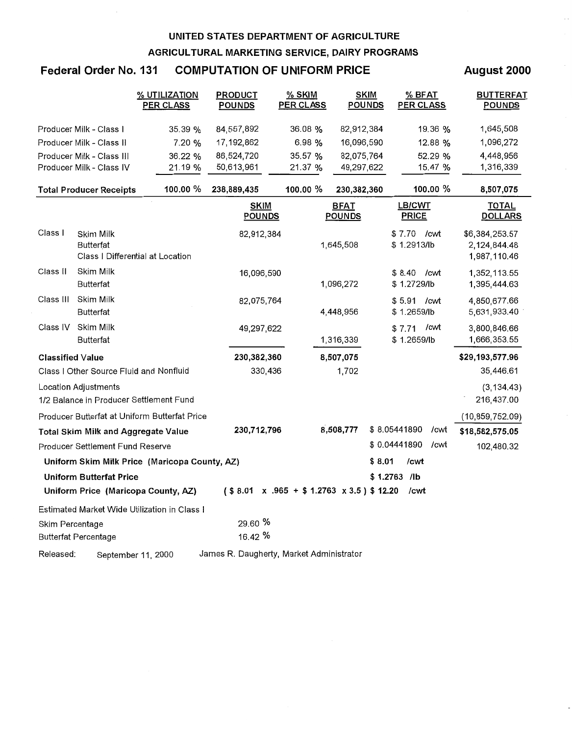## **Federal Order No. 131 COMPUTATION OF UNIFORM PRICE**

#### **August 2000**

|                         |                                         | % UTILIZATION<br><b>PER CLASS</b>             | <b>PRODUCT</b><br><b>POUNDS</b>          | % SKIM<br><b>PER CLASS</b>                          |                              | <b>SKIM</b><br><b>POUNDS</b> | % BFAT<br><b>PER CLASS</b> |      | <b>BUTTERFAT</b><br><b>POUNDS</b> |  |
|-------------------------|-----------------------------------------|-----------------------------------------------|------------------------------------------|-----------------------------------------------------|------------------------------|------------------------------|----------------------------|------|-----------------------------------|--|
|                         | Producer Milk - Class I                 | 35.39 %                                       | 84,557,892                               | 36.08 %                                             | 82,912,384                   |                              | 19.36 %                    |      | 1,645,508                         |  |
|                         | Producer Milk - Class II                | 7.20%                                         | 17,192,862                               | 6.98 %                                              | 16,096,590                   |                              | 12.88 %                    |      | 1,096,272                         |  |
|                         | Producer Milk - Class III               | 36.22 %                                       | 86,524,720                               | 35.57 %                                             | 82,075,764                   |                              | 52.29 %                    |      | 4,448,956                         |  |
|                         | Producer Milk - Class IV                | 21.19 %                                       | 50,613,961                               | 21.37 %                                             | 49,297,622                   |                              | 15.47 %                    |      | 1,316,339                         |  |
|                         | <b>Total Producer Receipts</b>          | 100.00 %                                      | 238,889,435                              | 100.00 %                                            | 230,382,360                  |                              | 100.00 %                   |      | 8,507,075                         |  |
|                         |                                         |                                               | SKIM<br><b>POUNDS</b>                    |                                                     | <b>BFAT</b><br><b>POUNDS</b> |                              | LB/CWT<br><b>PRICE</b>     |      | TOTAL<br><b>DOLLARS</b>           |  |
| Class I                 | Skim Milk                               |                                               | 82,912,384                               |                                                     |                              | \$7.70                       | /cwt                       |      | \$6,384,253.57                    |  |
|                         | <b>Butterfat</b>                        |                                               |                                          |                                                     | 1,645,508                    |                              | \$1.2913/lb                |      | 2,124,844.48                      |  |
|                         |                                         | Class   Differential at Location              |                                          |                                                     |                              |                              |                            |      | 1,987,110.46                      |  |
| Class II                | Skim Milk                               |                                               | 16,096,590                               |                                                     |                              |                              | $$8.40$ / cwt              |      | 1,352,113.55                      |  |
|                         | <b>Butterfat</b>                        |                                               |                                          |                                                     | 1,096,272                    |                              | \$1.2729/lb                |      | 1,395,444.63                      |  |
| Class III               | Skim Milk                               |                                               | 82,075,764                               |                                                     |                              |                              | \$5.91 / cwt               |      | 4,850,677.66                      |  |
|                         | <b>Butterfat</b>                        |                                               |                                          |                                                     | 4,448,956                    |                              | \$1.2659/lb                |      | 5,631,933.40                      |  |
| Class IV                | Skim Milk                               |                                               | 49,297,622                               |                                                     |                              | \$7.71                       | /cwt                       |      | 3,800,846.66                      |  |
|                         | <b>Butterfat</b>                        |                                               |                                          |                                                     | 1,316,339                    |                              | \$1.2659/lb                |      | 1,666,353.55                      |  |
| <b>Classified Value</b> |                                         |                                               | 230,382,360                              |                                                     | 8,507,075                    |                              |                            |      | \$29,193,577.96                   |  |
|                         | Class I Other Source Fluid and Nonfluid |                                               | 330,436                                  |                                                     | 1,702                        |                              |                            |      | 35,446.61                         |  |
|                         | Location Adjustments                    |                                               |                                          |                                                     |                              |                              |                            |      | (3, 134.43)                       |  |
|                         |                                         | 1/2 Balance in Producer Settlement Fund       |                                          |                                                     |                              |                              |                            |      | 216,437.00                        |  |
|                         |                                         | Producer Butterfat at Uniform Butterfat Price |                                          |                                                     |                              |                              |                            |      | (10, 859, 752.09)                 |  |
|                         | Total Skim Milk and Aggregate Value     |                                               | 230,712,796                              |                                                     | 8,508,777                    | \$8.05441890                 |                            | /cwt | \$18,582,575.05                   |  |
|                         | Producer Settlement Fund Reserve        |                                               |                                          |                                                     |                              | \$0.04441890                 |                            | /cwt | 102,480.32                        |  |
|                         |                                         | Uniform Skim Milk Price (Maricopa County, AZ) |                                          |                                                     |                              | \$8.01                       | /cwt                       |      |                                   |  |
|                         | <b>Uniform Butterfat Price</b>          |                                               |                                          |                                                     |                              | \$1.2763 /lb                 |                            |      |                                   |  |
|                         |                                         | Uniform Price (Maricopa County, AZ)           |                                          | $($8.01 \times .965 + $1.2763 \times 3.5)$$ \$12.20 |                              |                              | /cwt                       |      |                                   |  |
|                         |                                         | Estimated Market Wide Utilization in Class I  |                                          |                                                     |                              |                              |                            |      |                                   |  |
| Skim Percentage         |                                         |                                               | 29.60 %                                  |                                                     |                              |                              |                            |      |                                   |  |
|                         | <b>Butterfat Percentage</b>             |                                               | 16.42 %                                  |                                                     |                              |                              |                            |      |                                   |  |
| Released:               |                                         | September 11, 2000                            | James R. Daugherty, Market Administrator |                                                     |                              |                              |                            |      |                                   |  |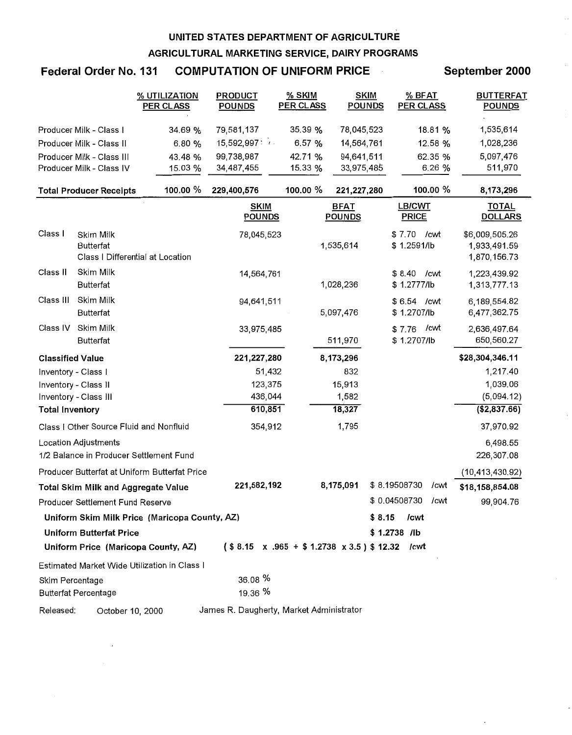### Federal Order No. 131 COMPUTATION OF UNIFORM PRICE September 2000

|                         |                                            | % UTILIZATION<br><b>PER CLASS</b>             | <b>PRODUCT</b><br><b>POUNDS</b>          | % SKIM<br><b>PER CLASS</b>                              | <b>SKIM</b><br><b>POUNDS</b> | % BFAT<br><b>PER CLASS</b>    | <b>BUTTERFAT</b><br><b>POUNDS</b>              |
|-------------------------|--------------------------------------------|-----------------------------------------------|------------------------------------------|---------------------------------------------------------|------------------------------|-------------------------------|------------------------------------------------|
|                         | Producer Milk - Class I                    | 34.69 %                                       | 79,581,137                               | 35.39 %                                                 | 78,045,523                   | 18.81 %                       | 1,535,614                                      |
|                         | Producer Milk - Class II                   | 6.80 %                                        | 15,592,997:7                             | 6.57 %                                                  | 14,564,761                   | 12.58 %                       | 1,028,236                                      |
|                         | Producer Milk - Class III                  | 43.48 %                                       | 99,738,987                               | 42.71 %                                                 | 94,641,511                   | 62.35 %                       | 5,097,476                                      |
|                         | Producer Milk - Class IV                   | 15.03 %                                       | 34,487,455                               | 15.33 %                                                 | 33,975,485                   | 6.26 %                        | 511,970                                        |
|                         | <b>Total Producer Receipts</b>             | 100.00 %                                      | 229,400,576                              | 100.00 %                                                | 221,227,280                  | 100.00 %                      | 8,173,296                                      |
|                         |                                            |                                               | <b>SKIM</b><br><b>POUNDS</b>             |                                                         | <b>BFAT</b><br><b>POUNDS</b> | <b>LB/CWT</b><br><b>PRICE</b> | <b>TOTAL</b><br><b>DOLLARS</b>                 |
| Class I                 | Skim Milk<br><b>Butterfat</b>              | Class   Differential at Location              | 78,045,523                               |                                                         | 1,535,614                    | \$7.70 / cwt<br>\$1.2591/lb   | \$6,009,505.26<br>1,933,491.59<br>1,870,156.73 |
| Class II                | Skim Milk<br><b>Butterfat</b>              |                                               | 14,564,761                               |                                                         | 1,028,236                    | \$8.40<br>/cwt<br>\$1.2777/lb | 1,223,439.92<br>1,313,777.13                   |
| Class III               | Skim Milk<br><b>Butterfat</b>              |                                               | 94,641,511                               |                                                         | 5,097,476                    | \$6.54 / cwt<br>\$1.2707/lb   | 6,189,554.82<br>6,477,362.75                   |
| Class IV                | Skim Milk<br><b>Butterfat</b>              |                                               | 33,975,485                               |                                                         | 511,970                      | /cwt<br>\$7.76<br>\$1.2707/lb | 2,636,497.64<br>650,560.27                     |
| <b>Classified Value</b> |                                            |                                               | 221,227,280                              |                                                         | 8,173,296                    |                               | \$28,304,346.11                                |
| Inventory - Class I     |                                            |                                               | 51,432                                   |                                                         | 832                          |                               | 1,217.40                                       |
|                         | Inventory - Class II                       |                                               | 123,375                                  |                                                         | 15,913                       |                               | 1,039.06                                       |
|                         | Inventory - Class III                      |                                               | 436,044                                  |                                                         | 1,582                        |                               | (5,094.12)                                     |
| <b>Total Inventory</b>  |                                            |                                               | 610,851                                  |                                                         | 18,327                       |                               | (\$2,837.66)                                   |
|                         | Class I Other Source Fluid and Nonfluid    |                                               | 354,912                                  |                                                         | 1,795                        |                               | 37,970.92                                      |
|                         | <b>Location Adjustments</b>                | 1/2 Balance in Producer Settlement Fund       |                                          |                                                         |                              |                               | 6,498.55<br>226,307.08                         |
|                         |                                            | Producer Butterfat at Uniform Butterfat Price |                                          |                                                         |                              |                               | (10, 413, 430.92)                              |
|                         | <b>Total Skim Milk and Aggregate Value</b> |                                               | 221,582,192                              |                                                         | 8,175,091                    | \$8.19508730<br>/cwt          | \$18,158,854.08                                |
|                         | Producer Settlement Fund Reserve           |                                               |                                          |                                                         |                              | \$0.04508730<br>/cwt          | 99,904.76                                      |
|                         |                                            | Uniform Skim Milk Price (Maricopa County, AZ) |                                          |                                                         |                              | \$8.15<br>/cwt                |                                                |
|                         | <b>Uniform Butterfat Price</b>             |                                               |                                          |                                                         |                              | \$1.2738 /lb                  |                                                |
|                         |                                            | Uniform Price (Maricopa County, AZ)           |                                          | $($8.15 \times .965 + $1.2738 \times 3.5)$ $12.32$ /cwt |                              |                               |                                                |
|                         |                                            | Estimated Market Wide Utilization in Class I  |                                          |                                                         |                              |                               |                                                |
| Skim Percentage         | <b>Butterfat Percentage</b>                |                                               | 36.08 %<br>19.36 %                       |                                                         |                              |                               |                                                |
| Released:               | October 10, 2000                           |                                               | James R. Daugherty, Market Administrator |                                                         |                              |                               |                                                |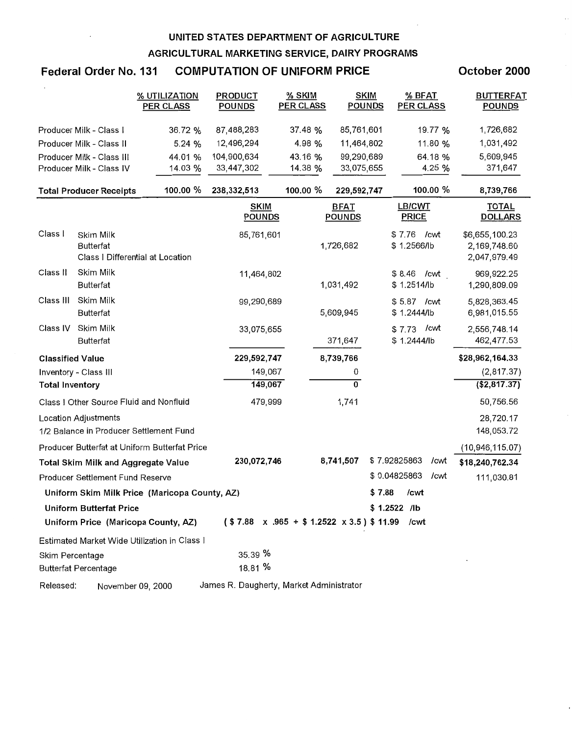## Federal Order No. 131 COMPUTATION OF UNIFORM PRICE

October 2000

|                         |                                            | % UTILIZATION<br>PER CLASS                    | PRODUCT<br><b>POUNDS</b>                 | % SKIM<br><b>PER CLASS</b> |                              | <b>SKIM</b><br>% BFAT<br>PER CLASS<br><b>POUNDS</b>      | <b>BUTTERFAT</b><br><b>POUNDS</b>              |
|-------------------------|--------------------------------------------|-----------------------------------------------|------------------------------------------|----------------------------|------------------------------|----------------------------------------------------------|------------------------------------------------|
|                         | Producer Milk - Class I                    | 36.72 %                                       | 87,488,283                               | 37.48 %                    | 85,761,601                   | 19.77 %                                                  | 1,726,682                                      |
|                         | Producer Milk - Class II                   | 5.24 %                                        | 12,496,294                               | 4.98 %                     | 11,464,802                   | 11.80 %                                                  | 1,031,492                                      |
|                         | Producer Milk - Class III                  | 44.01 %                                       | 104,900,634                              | 43.16 %                    | 99,290,689                   | 64.18 %                                                  | 5,609,945                                      |
|                         | Producer Milk - Class IV                   | 14.03 %                                       | 33,447,302                               | 14.38 %                    | 33,075,655                   | 4.25 %                                                   | 371,647                                        |
|                         | <b>Total Producer Receipts</b>             | 100.00 %                                      | 238,332,513                              | 100.00 %                   | 229,592,747                  | 100.00 %                                                 | 8,739,766                                      |
|                         |                                            |                                               | <b>SKIM</b><br><b>POUNDS</b>             |                            | <b>BFAT</b><br><b>POUNDS</b> | <b>LB/CWT</b><br><b>PRICE</b>                            | <b>TOTAL</b><br><b>DOLLARS</b>                 |
| Class I                 | Skim Milk<br><b>Butterfat</b>              | Class   Differential at Location              | 85,761,601                               |                            | 1,726,682                    | \$7.76 / cwt<br>\$1.2566/lb                              | \$6,655,100.23<br>2,169,748.60<br>2,047,979.49 |
| Class II                | Skim Milk<br><b>Butterfat</b>              |                                               | 11,464,802                               |                            | 1,031,492                    | \$8.46 / cwt<br>\$1.2514/lb                              | 969,922.25<br>1,290,809.09                     |
| Class III               | Skim Milk<br><b>Butterfat</b>              |                                               | 99,290,689                               |                            | 5,609,945                    | \$5.87 / cwt<br>\$1.2444/lb                              | 5,828,363.45<br>6,981,015.55                   |
| Class IV                | Skim Milk<br><b>Butterfat</b>              |                                               | 33,075,655                               |                            | 371,647                      | $$7.73$ / cwt<br>\$1.2444/lb                             | 2,556,748.14<br>462,477.53                     |
| <b>Classified Value</b> |                                            |                                               | 229,592,747                              |                            | 8,739,766                    |                                                          | \$28,962,164.33                                |
|                         | Inventory - Class III                      |                                               | 149,067                                  |                            | 0                            |                                                          | (2,817.37)                                     |
| <b>Total Inventory</b>  |                                            |                                               | 149,067                                  |                            | $\overline{0}$               |                                                          | (\$2,817.37)                                   |
|                         | Class I Other Source Fluid and Nonfluid    |                                               | 479,999                                  |                            | 1,741                        |                                                          | 50,756.56                                      |
|                         | Location Adjustments                       | 1/2 Balance in Producer Settlement Fund       |                                          |                            |                              |                                                          | 28,720.17<br>148,053.72                        |
|                         |                                            | Producer Butterfat at Uniform Butterfat Price |                                          |                            |                              |                                                          | (10, 946, 115.07)                              |
|                         | <b>Total Skim Milk and Aggregate Value</b> |                                               | 230,072,746                              |                            | 8,741,507                    | \$7.92825863<br>/cwt                                     | \$18,240,762.34                                |
|                         | Producer Settlement Fund Reserve           |                                               |                                          |                            |                              | \$0.04825863<br>/cwt                                     | 111,030.81                                     |
|                         |                                            | Uniform Skim Milk Price (Maricopa County, AZ) |                                          |                            |                              | \$7.88<br>/cwt                                           |                                                |
|                         | <b>Uniform Butterfat Price</b>             |                                               |                                          |                            |                              | \$1.2522 /lb                                             |                                                |
|                         |                                            | Uniform Price (Maricopa County, AZ)           |                                          |                            |                              | $($7.88 \times .965 + $1.2522 \times 3.5)$$ \$11.99 /cwt |                                                |
|                         |                                            | Estimated Market Wide Utilization in Class I  |                                          |                            |                              |                                                          |                                                |
| Skim Percentage         |                                            |                                               | 35.39 %                                  |                            |                              |                                                          |                                                |
|                         | <b>Butterfat Percentage</b>                |                                               | 18.81 %                                  |                            |                              |                                                          |                                                |
| Released:               |                                            | November 09, 2000                             | James R. Daugherty, Market Administrator |                            |                              |                                                          |                                                |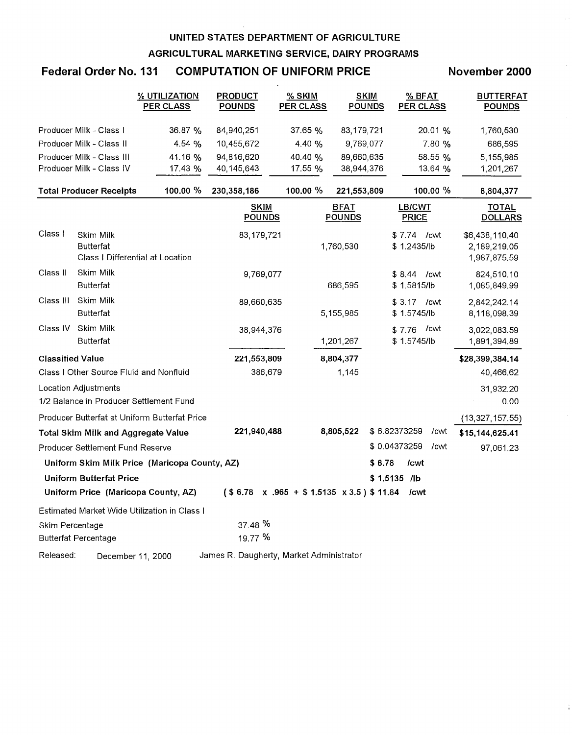#### Federal Order No. 131 COMPUTATION OF UNIFORM PRICE November 2000

|                         |                                            | % UTILIZATION<br><b>PER CLASS</b>             | <b>PRODUCT</b><br><b>POUNDS</b>                   | % SKIM<br><b>PER CLASS</b> | <b>SKIM</b><br><b>POUNDS</b> | $%$ BFAT<br><b>PER CLASS</b>  | <b>BUTTERFAT</b><br><b>POUNDS</b> |
|-------------------------|--------------------------------------------|-----------------------------------------------|---------------------------------------------------|----------------------------|------------------------------|-------------------------------|-----------------------------------|
|                         | Producer Milk - Class I                    | 36.87%                                        | 84,940,251                                        | 37.65%                     | 83,179,721                   | 20.01 %                       | 1,760,530                         |
|                         | Producer Milk - Class II                   | 4.54%                                         | 10,455,672                                        | 4.40 %                     | 9,769,077                    | 7.80 %                        | 686,595                           |
|                         | Producer Milk - Class III                  | 41.16 %                                       | 94,816,620                                        | 40.40 %                    | 89,660,635                   | 58.55 %                       | 5,155,985                         |
|                         | Producer Milk - Class IV                   | 17.43 %                                       | 40,145,643                                        | 17.55 %                    | 38,944,376                   | 13.64 %                       | 1,201,267                         |
|                         | <b>Total Producer Receipts</b>             | 100.00 %                                      | 230,358,186                                       | 100.00 %                   | 221,553,809                  | 100.00 %                      | 8,804,377                         |
|                         |                                            |                                               | <b>SKIM</b><br><b>POUNDS</b>                      |                            | <b>BFAT</b><br><b>POUNDS</b> | <b>LB/CWT</b><br><b>PRICE</b> | <b>TOTAL</b><br><b>DOLLARS</b>    |
| Class I                 | Skim Milk                                  |                                               | 83,179,721                                        |                            |                              | \$7.74 / cwt                  | \$6,438,110.40                    |
|                         | Butterfat                                  |                                               |                                                   |                            | 1,760,530                    | \$1.2435/lb                   | 2,189,219.05                      |
|                         |                                            | Class I Differential at Location              |                                                   |                            |                              |                               | 1,987,875.59                      |
| Class II                | Skim Milk                                  |                                               | 9,769,077                                         |                            |                              | $$8,44$ / cwt                 | 824,510.10                        |
|                         | <b>Butterfat</b>                           |                                               |                                                   |                            | 686,595                      | \$1.5815/lb                   | 1,085,849.99                      |
| Class III               | Skim Milk                                  |                                               | 89,660,635                                        |                            |                              | \$3.17 / cwt                  | 2,842,242.14                      |
|                         | Butterfat                                  |                                               |                                                   |                            | 5,155,985                    | \$1.5745/lb                   | 8,118,098.39                      |
| Class IV                | Skim Milk                                  |                                               | 38,944,376                                        |                            |                              | /cwt<br>\$7.76                | 3,022,083.59                      |
|                         | <b>Butterfat</b>                           |                                               |                                                   |                            | 1,201,267                    | \$1.5745/lb                   | 1,891,394.89                      |
| <b>Classified Value</b> |                                            |                                               | 221,553,809                                       |                            | 8,804,377                    |                               | \$28,399,384.14                   |
|                         | Class I Other Source Fluid and Nonfluid    |                                               | 386,679                                           |                            | 1,145                        |                               | 40,466.62                         |
|                         | <b>Location Adjustments</b>                |                                               |                                                   |                            |                              |                               | 31,932.20                         |
|                         | 1/2 Balance in Producer Settlement Fund    |                                               |                                                   |                            |                              |                               | 0.00                              |
|                         |                                            | Producer Butterfat at Uniform Butterfat Price |                                                   |                            |                              |                               | (13, 327, 157.55)                 |
|                         | <b>Total Skim Milk and Aggregate Value</b> |                                               | 221,940,488                                       |                            | 8,805,522                    | \$6.82373259<br>/cwt          | \$15,144,625.41                   |
|                         | Producer Settlement Fund Reserve           |                                               |                                                   |                            |                              | \$0.04373259<br>/cwt          | 97,061.23                         |
|                         |                                            | Uniform Skim Milk Price (Maricopa County, AZ) |                                                   |                            |                              | \$6.78<br>/cwt                |                                   |
|                         | <b>Uniform Butterfat Price</b>             |                                               |                                                   |                            |                              | \$1.5135 /lb                  |                                   |
|                         |                                            | Uniform Price (Maricopa County, AZ)           | $($6.78 \times .965 + $1.5135 \times 3.5) $11.84$ |                            |                              | /cwt                          |                                   |
|                         |                                            | Estimated Market Wide Utilization in Class I  |                                                   |                            |                              |                               |                                   |
| Skim Percentage         |                                            |                                               | 37.48 %                                           |                            |                              |                               |                                   |
|                         | <b>Butterfat Percentage</b>                |                                               | 19.77 %                                           |                            |                              |                               |                                   |
| Released:               |                                            | December 11, 2000                             | James R. Daugherty, Market Administrator          |                            |                              |                               |                                   |